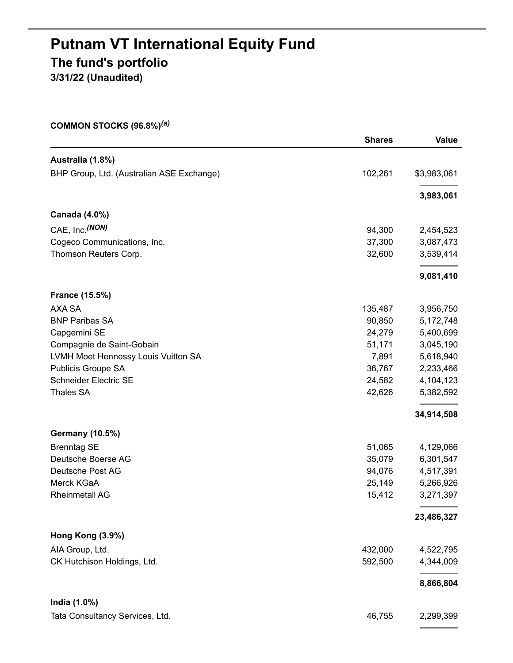# **Putnam VT International Equity Fund The fund's portfolio 3/31/22 (Unaudited)**

**COMMON STOCKS (96.8%)** *(a)*

|                                           | <b>Shares</b> | <b>Value</b> |
|-------------------------------------------|---------------|--------------|
| Australia (1.8%)                          |               |              |
| BHP Group, Ltd. (Australian ASE Exchange) | 102,261       | \$3,983,061  |
|                                           |               | 3,983,061    |
| Canada (4.0%)                             |               |              |
| CAE, Inc. (NON)                           | 94,300        | 2,454,523    |
| Cogeco Communications, Inc.               | 37,300        | 3,087,473    |
| Thomson Reuters Corp.                     | 32,600        | 3,539,414    |
|                                           |               | 9,081,410    |
| <b>France (15.5%)</b>                     |               |              |
| AXA SA                                    | 135,487       | 3,956,750    |
| <b>BNP Paribas SA</b>                     | 90,850        | 5,172,748    |
| Capgemini SE                              | 24,279        | 5,400,699    |
| Compagnie de Saint-Gobain                 | 51,171        | 3,045,190    |
| LVMH Moet Hennessy Louis Vuitton SA       | 7,891         | 5,618,940    |
| Publicis Groupe SA                        | 36,767        | 2,233,466    |
| <b>Schneider Electric SE</b>              | 24,582        | 4,104,123    |
| <b>Thales SA</b>                          | 42,626        | 5,382,592    |
|                                           |               | 34,914,508   |
| <b>Germany (10.5%)</b>                    |               |              |
| <b>Brenntag SE</b>                        | 51,065        | 4,129,066    |
| Deutsche Boerse AG                        | 35,079        | 6,301,547    |
| Deutsche Post AG                          | 94,076        | 4,517,391    |
| Merck KGaA                                | 25,149        | 5,266,926    |
| <b>Rheinmetall AG</b>                     | 15,412        | 3,271,397    |
|                                           |               | 23,486,327   |
| Hong Kong (3.9%)                          |               |              |
| AIA Group, Ltd.                           | 432,000       | 4,522,795    |
| CK Hutchison Holdings, Ltd.               | 592,500       | 4,344,009    |
|                                           |               | 8,866,804    |
| India (1.0%)                              |               |              |
| Tata Consultancy Services, Ltd.           | 46,755        | 2,299,399    |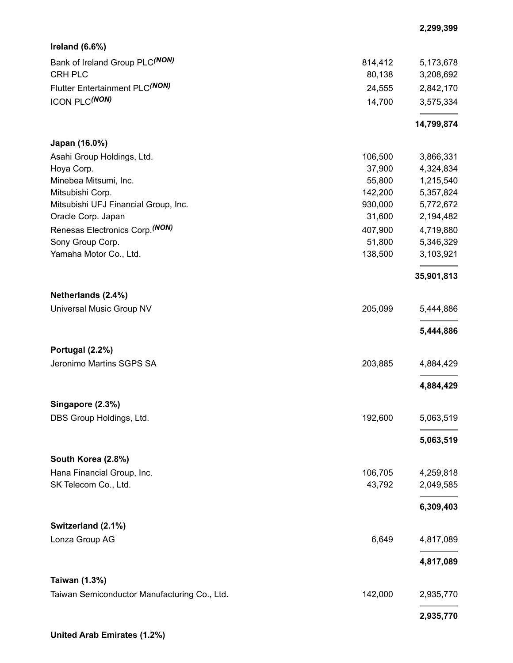| Ireland $(6.6%)$                                              |         |            |
|---------------------------------------------------------------|---------|------------|
| Bank of Ireland Group PLC(NON)                                | 814,412 | 5,173,678  |
| <b>CRH PLC</b>                                                | 80,138  | 3,208,692  |
| Flutter Entertainment PLC(NON)                                | 24,555  | 2,842,170  |
| <b>ICON PLC(NON)</b>                                          | 14,700  | 3,575,334  |
|                                                               |         | 14,799,874 |
| Japan (16.0%)                                                 |         |            |
| Asahi Group Holdings, Ltd.                                    | 106,500 | 3,866,331  |
| Hoya Corp.                                                    | 37,900  | 4,324,834  |
| Minebea Mitsumi, Inc.                                         | 55,800  | 1,215,540  |
| Mitsubishi Corp.                                              | 142,200 | 5,357,824  |
| Mitsubishi UFJ Financial Group, Inc.                          | 930,000 | 5,772,672  |
| Oracle Corp. Japan                                            | 31,600  | 2,194,482  |
| Renesas Electronics Corp. (NON)                               | 407,900 | 4,719,880  |
| Sony Group Corp.                                              | 51,800  | 5,346,329  |
| Yamaha Motor Co., Ltd.                                        | 138,500 | 3,103,921  |
|                                                               |         | 35,901,813 |
| Netherlands (2.4%)                                            |         |            |
| Universal Music Group NV                                      | 205,099 | 5,444,886  |
|                                                               |         | 5,444,886  |
| Portugal (2.2%)                                               |         |            |
| Jeronimo Martins SGPS SA                                      | 203,885 | 4,884,429  |
|                                                               |         | 4,884,429  |
| Singapore (2.3%)                                              |         |            |
| DBS Group Holdings, Ltd.                                      | 192,600 | 5,063,519  |
|                                                               |         | 5,063,519  |
| South Korea (2.8%)                                            |         |            |
| Hana Financial Group, Inc.                                    | 106,705 | 4,259,818  |
| SK Telecom Co., Ltd.                                          | 43,792  | 2,049,585  |
|                                                               |         | 6,309,403  |
| Switzerland (2.1%)                                            |         |            |
| Lonza Group AG                                                | 6,649   | 4,817,089  |
|                                                               |         | 4,817,089  |
| Taiwan (1.3%)<br>Taiwan Semiconductor Manufacturing Co., Ltd. | 142,000 | 2,935,770  |
|                                                               |         |            |
|                                                               |         | 2,935,770  |

**2,299,399**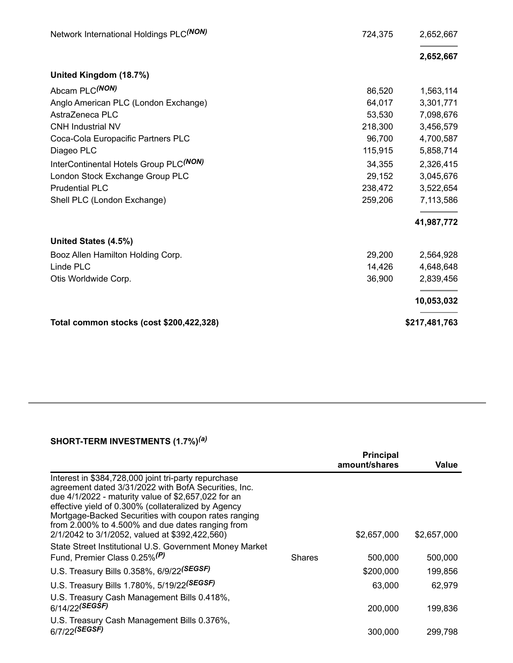| Network International Holdings PLC(NON)            | 724,375 | 2,652,667     |
|----------------------------------------------------|---------|---------------|
|                                                    |         | 2,652,667     |
| United Kingdom (18.7%)                             |         |               |
| Abcam PLC(NON)                                     | 86,520  | 1,563,114     |
| Anglo American PLC (London Exchange)               | 64,017  | 3,301,771     |
| AstraZeneca PLC                                    | 53,530  | 7,098,676     |
| <b>CNH Industrial NV</b>                           | 218,300 | 3,456,579     |
| Coca-Cola Europacific Partners PLC                 | 96,700  | 4,700,587     |
| Diageo PLC                                         | 115,915 | 5,858,714     |
| InterContinental Hotels Group PLC <sup>(NON)</sup> | 34,355  | 2,326,415     |
| London Stock Exchange Group PLC                    | 29,152  | 3,045,676     |
| <b>Prudential PLC</b>                              | 238,472 | 3,522,654     |
| Shell PLC (London Exchange)                        | 259,206 | 7,113,586     |
|                                                    |         | 41,987,772    |
| United States (4.5%)                               |         |               |
| Booz Allen Hamilton Holding Corp.                  | 29,200  | 2,564,928     |
| Linde PLC                                          | 14,426  | 4,648,648     |
| Otis Worldwide Corp.                               | 36,900  | 2,839,456     |
|                                                    |         | 10,053,032    |
| Total common stocks (cost \$200,422,328)           |         | \$217,481,763 |

## **SHORT-TERM INVESTMENTS (1.7%)** *(a)*

|                                                                                                                                                                                                                                                                                                                                                                                          |               | <b>Principal</b><br>amount/shares | Value       |
|------------------------------------------------------------------------------------------------------------------------------------------------------------------------------------------------------------------------------------------------------------------------------------------------------------------------------------------------------------------------------------------|---------------|-----------------------------------|-------------|
| Interest in \$384,728,000 joint tri-party repurchase<br>agreement dated 3/31/2022 with BofA Securities, Inc.<br>due 4/1/2022 - maturity value of \$2,657,022 for an<br>effective yield of 0.300% (collateralized by Agency<br>Mortgage-Backed Securities with coupon rates ranging<br>from 2.000% to 4.500% and due dates ranging from<br>2/1/2042 to 3/1/2052, valued at \$392,422,560) |               | \$2,657,000                       | \$2,657,000 |
| State Street Institutional U.S. Government Money Market<br>Fund, Premier Class 0.25% <sup>(P)</sup>                                                                                                                                                                                                                                                                                      | <b>Shares</b> |                                   |             |
|                                                                                                                                                                                                                                                                                                                                                                                          |               | 500,000                           | 500,000     |
| U.S. Treasury Bills 0.358%, 6/9/22(SEGSF)                                                                                                                                                                                                                                                                                                                                                |               | \$200,000                         | 199,856     |
| U.S. Treasury Bills 1.780%, 5/19/22(SEGSF)                                                                                                                                                                                                                                                                                                                                               |               | 63,000                            | 62.979      |
| U.S. Treasury Cash Management Bills 0.418%,<br>6/14/22 <sup>(SEGSF)</sup>                                                                                                                                                                                                                                                                                                                |               | 200,000                           | 199,836     |
| U.S. Treasury Cash Management Bills 0.376%,<br>6/7/22 <sup>(SEGSF)</sup>                                                                                                                                                                                                                                                                                                                 |               | 300,000                           | 299.798     |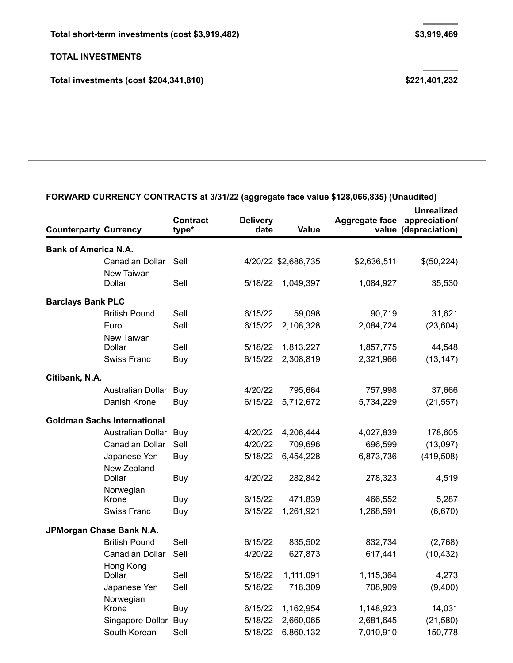**Total investments (cost \$204,341,810) \$221,401,232**

| <b>Counterparty Currency</b> |                                    | <b>Contract</b><br>type* | <b>Delivery</b><br>date | Value               | Aggregate face | <b>Unrealized</b><br>appreciation/<br>value (depreciation) |
|------------------------------|------------------------------------|--------------------------|-------------------------|---------------------|----------------|------------------------------------------------------------|
| <b>Bank of America N.A.</b>  |                                    |                          |                         |                     |                |                                                            |
|                              | Canadian Dollar                    | Sell                     |                         | 4/20/22 \$2,686,735 | \$2,636,511    | \$(50,224)                                                 |
|                              | New Taiwan<br>Dollar               | Sell                     | 5/18/22                 | 1,049,397           | 1,084,927      | 35,530                                                     |
| <b>Barclays Bank PLC</b>     |                                    |                          |                         |                     |                |                                                            |
|                              | <b>British Pound</b>               | Sell                     | 6/15/22                 | 59,098              | 90,719         | 31,621                                                     |
|                              | Euro                               | Sell                     | 6/15/22                 | 2,108,328           | 2,084,724      | (23, 604)                                                  |
|                              | New Taiwan<br>Dollar               | Sell                     | 5/18/22                 | 1,813,227           | 1,857,775      | 44,548                                                     |
|                              | <b>Swiss Franc</b>                 | Buy                      | 6/15/22                 | 2,308,819           | 2,321,966      | (13, 147)                                                  |
| Citibank, N.A.               |                                    |                          |                         |                     |                |                                                            |
|                              | Australian Dollar                  | Buy                      | 4/20/22                 | 795,664             | 757,998        | 37,666                                                     |
|                              | Danish Krone                       | Buy                      | 6/15/22                 | 5,712,672           | 5,734,229      | (21, 557)                                                  |
|                              |                                    |                          |                         |                     |                |                                                            |
|                              | <b>Goldman Sachs International</b> |                          |                         |                     |                |                                                            |
|                              | Australian Dollar Buy              |                          | 4/20/22                 | 4,206,444           | 4,027,839      | 178,605                                                    |
|                              | Canadian Dollar                    | Sell                     | 4/20/22                 | 709,696             | 696,599        | (13,097)                                                   |
|                              | Japanese Yen                       | Buy                      | 5/18/22                 | 6,454,228           | 6,873,736      | (419, 508)                                                 |
|                              | New Zealand<br>Dollar              | <b>Buy</b>               | 4/20/22                 | 282,842             | 278,323        | 4,519                                                      |
|                              | Norwegian                          |                          |                         |                     |                |                                                            |
|                              | Krone                              | Buy                      | 6/15/22                 | 471,839             | 466,552        | 5,287                                                      |
|                              | <b>Swiss Franc</b>                 | <b>Buy</b>               | 6/15/22                 | 1,261,921           | 1,268,591      | (6,670)                                                    |
|                              | JPMorgan Chase Bank N.A.           |                          |                         |                     |                |                                                            |
|                              | <b>British Pound</b>               | Sell                     | 6/15/22                 | 835,502             | 832,734        | (2,768)                                                    |
|                              | Canadian Dollar                    | Sell                     | 4/20/22                 | 627,873             | 617,441        | (10, 432)                                                  |
|                              | Hong Kong<br>Dollar                | Sell                     | 5/18/22                 | 1,111,091           | 1,115,364      | 4,273                                                      |
|                              | Japanese Yen                       | Sell                     | 5/18/22                 | 718,309             | 708,909        | (9,400)                                                    |
|                              | Norwegian                          |                          |                         |                     |                |                                                            |
|                              | Krone                              | Buy                      | 6/15/22                 | 1,162,954           | 1,148,923      | 14,031                                                     |
|                              | Singapore Dollar Buy               |                          | 5/18/22                 | 2,660,065           | 2,681,645      | (21, 580)                                                  |
|                              | South Korean                       | Sell                     | 5/18/22                 | 6,860,132           | 7,010,910      | 150,778                                                    |

## **FORWARD CURRENCY CONTRACTS at 3/31/22 (aggregate face value \$128,066,835) (Unaudited)**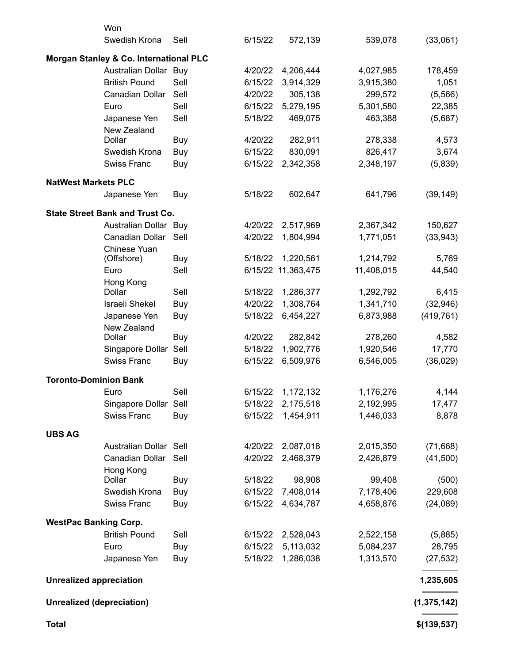|                                  | Won                                    |            |         |                    |            |               |
|----------------------------------|----------------------------------------|------------|---------|--------------------|------------|---------------|
|                                  | Swedish Krona                          | Sell       | 6/15/22 | 572,139            | 539,078    | (33,061)      |
|                                  | Morgan Stanley & Co. International PLC |            |         |                    |            |               |
|                                  | Australian Dollar Buy                  |            | 4/20/22 | 4,206,444          | 4,027,985  | 178,459       |
|                                  | <b>British Pound</b>                   | Sell       | 6/15/22 | 3,914,329          | 3,915,380  | 1,051         |
|                                  | Canadian Dollar                        | Sell       | 4/20/22 | 305,138            | 299,572    | (5, 566)      |
|                                  | Euro                                   | Sell       | 6/15/22 | 5,279,195          | 5,301,580  | 22,385        |
|                                  | Japanese Yen<br>New Zealand            | Sell       | 5/18/22 | 469,075            | 463,388    | (5,687)       |
|                                  | Dollar                                 | Buy        | 4/20/22 | 282,911            | 278,338    | 4,573         |
|                                  | Swedish Krona                          | <b>Buy</b> | 6/15/22 | 830,091            | 826,417    | 3,674         |
|                                  | <b>Swiss Franc</b>                     | Buy        | 6/15/22 | 2,342,358          | 2,348,197  | (5,839)       |
| <b>NatWest Markets PLC</b>       |                                        |            |         |                    |            |               |
|                                  | Japanese Yen                           | Buy        | 5/18/22 | 602,647            | 641,796    | (39, 149)     |
|                                  | <b>State Street Bank and Trust Co.</b> |            |         |                    |            |               |
|                                  | Australian Dollar Buy                  |            | 4/20/22 | 2,517,969          | 2,367,342  | 150,627       |
|                                  | Canadian Dollar                        | Sell       | 4/20/22 | 1,804,994          | 1,771,051  | (33, 943)     |
|                                  | Chinese Yuan<br>(Offshore)             | <b>Buy</b> | 5/18/22 | 1,220,561          | 1,214,792  | 5,769         |
|                                  | Euro                                   | Sell       |         | 6/15/22 11,363,475 | 11,408,015 | 44,540        |
|                                  | Hong Kong<br>Dollar                    | Sell       | 5/18/22 | 1,286,377          | 1,292,792  | 6,415         |
|                                  | <b>Israeli Shekel</b>                  | <b>Buy</b> | 4/20/22 | 1,308,764          | 1,341,710  | (32, 946)     |
|                                  | Japanese Yen                           |            | 5/18/22 | 6,454,227          | 6,873,988  | (419, 761)    |
|                                  | New Zealand                            | Buy        |         |                    |            |               |
|                                  | Dollar                                 | Buy        | 4/20/22 | 282,842            | 278,260    | 4,582         |
|                                  | Singapore Dollar Sell                  |            | 5/18/22 | 1,902,776          | 1,920,546  | 17,770        |
|                                  | <b>Swiss Franc</b>                     | Buy        | 6/15/22 | 6,509,976          | 6,546,005  | (36, 029)     |
| <b>Toronto-Dominion Bank</b>     |                                        |            |         |                    |            |               |
|                                  | Euro                                   | Sell       | 6/15/22 | 1,172,132          | 1,176,276  | 4,144         |
|                                  | Singapore Dollar Sell                  |            | 5/18/22 | 2,175,518          | 2,192,995  | 17,477        |
|                                  | Swiss Franc                            | Buy        | 6/15/22 | 1,454,911          | 1,446,033  | 8,878         |
| <b>UBS AG</b>                    |                                        |            |         |                    |            |               |
|                                  | Australian Dollar Sell                 |            | 4/20/22 | 2,087,018          | 2,015,350  | (71, 668)     |
|                                  | Canadian Dollar                        | Sell       | 4/20/22 | 2,468,379          | 2,426,879  | (41,500)      |
|                                  | Hong Kong                              |            |         |                    |            |               |
|                                  | Dollar                                 | <b>Buy</b> | 5/18/22 | 98,908             | 99,408     | (500)         |
|                                  | Swedish Krona                          | Buy        | 6/15/22 | 7,408,014          | 7,178,406  | 229,608       |
|                                  | Swiss Franc                            | Buy        | 6/15/22 | 4,634,787          | 4,658,876  | (24,089)      |
| <b>WestPac Banking Corp.</b>     |                                        |            |         |                    |            |               |
|                                  | <b>British Pound</b>                   | Sell       | 6/15/22 | 2,528,043          | 2,522,158  | (5,885)       |
|                                  | Euro                                   | Buy        | 6/15/22 | 5,113,032          | 5,084,237  | 28,795        |
|                                  | Japanese Yen                           | Buy        | 5/18/22 | 1,286,038          | 1,313,570  | (27, 532)     |
| <b>Unrealized appreciation</b>   |                                        |            |         |                    |            | 1,235,605     |
| <b>Unrealized (depreciation)</b> |                                        |            |         |                    |            | (1, 375, 142) |
| <b>Total</b>                     |                                        |            |         |                    |            | \$(139, 537)  |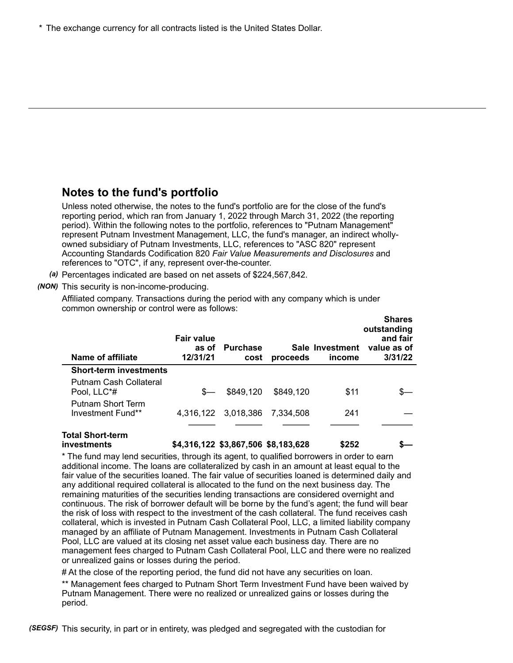\* The exchange currency for all contracts listed is the United States Dollar.

## **Notes to the fund's portfolio**

Unless noted otherwise, the notes to the fund's portfolio are for the close of the fund's reporting period, which ran from January 1, 2022 through March 31, 2022 (the reporting period). Within the following notes to the portfolio, references to "Putnam Management" represent Putnam Investment Management, LLC, the fund's manager, an indirect whollyowned subsidiary of Putnam Investments, LLC, references to "ASC 820" represent Accounting Standards Codification 820 *Fair Value Measurements and Disclosures* and references to "OTC", if any, represent over-the-counter.

*(a)* Percentages indicated are based on net assets of \$224,567,842.

### *(NON)* This security is non-income-producing.

Affiliated company. Transactions during the period with any company which is under common ownership or control were as follows:

| <b>Name of affiliate</b>                      | <b>Fair value</b><br>as of<br>12/31/21 | <b>Purchase</b><br>cost               | proceeds  | Sale Investment<br>income | onares<br>outstanding<br>and fair<br>value as of<br>3/31/22 |
|-----------------------------------------------|----------------------------------------|---------------------------------------|-----------|---------------------------|-------------------------------------------------------------|
| <b>Short-term investments</b>                 |                                        |                                       |           |                           |                                                             |
| Putnam Cash Collateral<br>Pool, LLC*#         | $S-$                                   | \$849,120                             | \$849,120 | \$11                      |                                                             |
| <b>Putnam Short Term</b><br>Investment Fund** |                                        | 4,316,122 3,018,386                   | 7.334.508 | 241                       |                                                             |
| Total Short-term<br>invaetmante               |                                        | \$4,316,122, \$3,867,506, \$8,183,628 |           | ぐつらつ                      |                                                             |

**Shares**

**investments \$4,316,122 \$3,867,506 \$8,183,628 \$252 \$—**

\* The fund may lend securities, through its agent, to qualified borrowers in order to earn additional income. The loans are collateralized by cash in an amount at least equal to the fair value of the securities loaned. The fair value of securities loaned is determined daily and any additional required collateral is allocated to the fund on the next business day. The remaining maturities of the securities lending transactions are considered overnight and continuous. The risk of borrower default will be borne by the fund's agent; the fund will bear the risk of loss with respect to the investment of the cash collateral. The fund receives cash collateral, which is invested in Putnam Cash Collateral Pool, LLC, a limited liability company managed by an affiliate of Putnam Management. Investments in Putnam Cash Collateral Pool, LLC are valued at its closing net asset value each business day. There are no management fees charged to Putnam Cash Collateral Pool, LLC and there were no realized or unrealized gains or losses during the period.

# At the close of the reporting period, the fund did not have any securities on loan.

\*\* Management fees charged to Putnam Short Term Investment Fund have been waived by Putnam Management. There were no realized or unrealized gains or losses during the period.

*(SEGSF)* This security, in part or in entirety, was pledged and segregated with the custodian for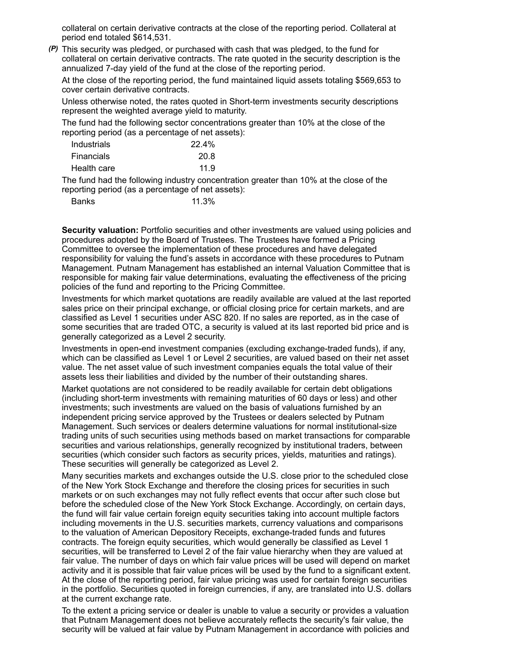collateral on certain derivative contracts at the close of the reporting period. Collateral at period end totaled \$614,531.

*(P)* This security was pledged, or purchased with cash that was pledged, to the fund for collateral on certain derivative contracts. The rate quoted in the security description is the annualized 7-day yield of the fund at the close of the reporting period.

At the close of the reporting period, the fund maintained liquid assets totaling \$569,653 to cover certain derivative contracts.

Unless otherwise noted, the rates quoted in Short-term investments security descriptions represent the weighted average yield to maturity.

The fund had the following sector concentrations greater than 10% at the close of the reporting period (as a percentage of net assets):

| Industrials       | 22.4% |
|-------------------|-------|
| <b>Financials</b> | 20.8  |
| Health care       | 11.9  |

The fund had the following industry concentration greater than 10% at the close of the reporting period (as a percentage of net assets):

| <b>Banks</b> | 11.3% |
|--------------|-------|
|--------------|-------|

**Security valuation:** Portfolio securities and other investments are valued using policies and procedures adopted by the Board of Trustees. The Trustees have formed a Pricing Committee to oversee the implementation of these procedures and have delegated responsibility for valuing the fund's assets in accordance with these procedures to Putnam Management. Putnam Management has established an internal Valuation Committee that is responsible for making fair value determinations, evaluating the effectiveness of the pricing policies of the fund and reporting to the Pricing Committee.

Investments for which market quotations are readily available are valued at the last reported sales price on their principal exchange, or official closing price for certain markets, and are classified as Level 1 securities under ASC 820. If no sales are reported, as in the case of some securities that are traded OTC, a security is valued at its last reported bid price and is generally categorized as a Level 2 security.

Investments in open-end investment companies (excluding exchange-traded funds), if any, which can be classified as Level 1 or Level 2 securities, are valued based on their net asset value. The net asset value of such investment companies equals the total value of their assets less their liabilities and divided by the number of their outstanding shares.

Market quotations are not considered to be readily available for certain debt obligations (including short-term investments with remaining maturities of 60 days or less) and other investments; such investments are valued on the basis of valuations furnished by an independent pricing service approved by the Trustees or dealers selected by Putnam Management. Such services or dealers determine valuations for normal institutional-size trading units of such securities using methods based on market transactions for comparable securities and various relationships, generally recognized by institutional traders, between securities (which consider such factors as security prices, yields, maturities and ratings). These securities will generally be categorized as Level 2.

Many securities markets and exchanges outside the U.S. close prior to the scheduled close of the New York Stock Exchange and therefore the closing prices for securities in such markets or on such exchanges may not fully reflect events that occur after such close but before the scheduled close of the New York Stock Exchange. Accordingly, on certain days, the fund will fair value certain foreign equity securities taking into account multiple factors including movements in the U.S. securities markets, currency valuations and comparisons to the valuation of American Depository Receipts, exchange-traded funds and futures contracts. The foreign equity securities, which would generally be classified as Level 1 securities, will be transferred to Level 2 of the fair value hierarchy when they are valued at fair value. The number of days on which fair value prices will be used will depend on market activity and it is possible that fair value prices will be used by the fund to a significant extent. At the close of the reporting period, fair value pricing was used for certain foreign securities in the portfolio. Securities quoted in foreign currencies, if any, are translated into U.S. dollars at the current exchange rate.

To the extent a pricing service or dealer is unable to value a security or provides a valuation that Putnam Management does not believe accurately reflects the security's fair value, the security will be valued at fair value by Putnam Management in accordance with policies and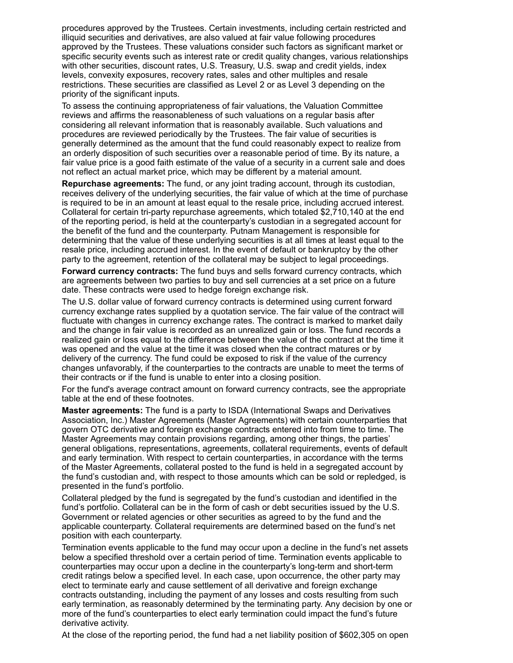procedures approved by the Trustees. Certain investments, including certain restricted and illiquid securities and derivatives, are also valued at fair value following procedures approved by the Trustees. These valuations consider such factors as significant market or specific security events such as interest rate or credit quality changes, various relationships with other securities, discount rates, U.S. Treasury, U.S. swap and credit yields, index levels, convexity exposures, recovery rates, sales and other multiples and resale restrictions. These securities are classified as Level 2 or as Level 3 depending on the priority of the significant inputs.

To assess the continuing appropriateness of fair valuations, the Valuation Committee reviews and affirms the reasonableness of such valuations on a regular basis after considering all relevant information that is reasonably available. Such valuations and procedures are reviewed periodically by the Trustees. The fair value of securities is generally determined as the amount that the fund could reasonably expect to realize from an orderly disposition of such securities over a reasonable period of time. By its nature, a fair value price is a good faith estimate of the value of a security in a current sale and does not reflect an actual market price, which may be different by a material amount.

**Repurchase agreements:** The fund, or any joint trading account, through its custodian, receives delivery of the underlying securities, the fair value of which at the time of purchase is required to be in an amount at least equal to the resale price, including accrued interest. Collateral for certain tri-party repurchase agreements, which totaled \$2,710,140 at the end of the reporting period, is held at the counterparty's custodian in a segregated account for the benefit of the fund and the counterparty. Putnam Management is responsible for determining that the value of these underlying securities is at all times at least equal to the resale price, including accrued interest. In the event of default or bankruptcy by the other party to the agreement, retention of the collateral may be subject to legal proceedings.

**Forward currency contracts:** The fund buys and sells forward currency contracts, which are agreements between two parties to buy and sell currencies at a set price on a future date. These contracts were used to hedge foreign exchange risk.

The U.S. dollar value of forward currency contracts is determined using current forward currency exchange rates supplied by a quotation service. The fair value of the contract will fluctuate with changes in currency exchange rates. The contract is marked to market daily and the change in fair value is recorded as an unrealized gain or loss. The fund records a realized gain or loss equal to the difference between the value of the contract at the time it was opened and the value at the time it was closed when the contract matures or by delivery of the currency. The fund could be exposed to risk if the value of the currency changes unfavorably, if the counterparties to the contracts are unable to meet the terms of their contracts or if the fund is unable to enter into a closing position.

For the fund's average contract amount on forward currency contracts, see the appropriate table at the end of these footnotes.

**Master agreements:** The fund is a party to ISDA (International Swaps and Derivatives Association, Inc.) Master Agreements (Master Agreements) with certain counterparties that govern OTC derivative and foreign exchange contracts entered into from time to time. The Master Agreements may contain provisions regarding, among other things, the parties' general obligations, representations, agreements, collateral requirements, events of default and early termination. With respect to certain counterparties, in accordance with the terms of the Master Agreements, collateral posted to the fund is held in a segregated account by the fund's custodian and, with respect to those amounts which can be sold or repledged, is presented in the fund's portfolio.

Collateral pledged by the fund is segregated by the fund's custodian and identified in the fund's portfolio. Collateral can be in the form of cash or debt securities issued by the U.S. Government or related agencies or other securities as agreed to by the fund and the applicable counterparty. Collateral requirements are determined based on the fund's net position with each counterparty.

Termination events applicable to the fund may occur upon a decline in the fund's net assets below a specified threshold over a certain period of time. Termination events applicable to counterparties may occur upon a decline in the counterparty's long-term and short-term credit ratings below a specified level. In each case, upon occurrence, the other party may elect to terminate early and cause settlement of all derivative and foreign exchange contracts outstanding, including the payment of any losses and costs resulting from such early termination, as reasonably determined by the terminating party. Any decision by one or more of the fund's counterparties to elect early termination could impact the fund's future derivative activity.

At the close of the reporting period, the fund had a net liability position of \$602,305 on open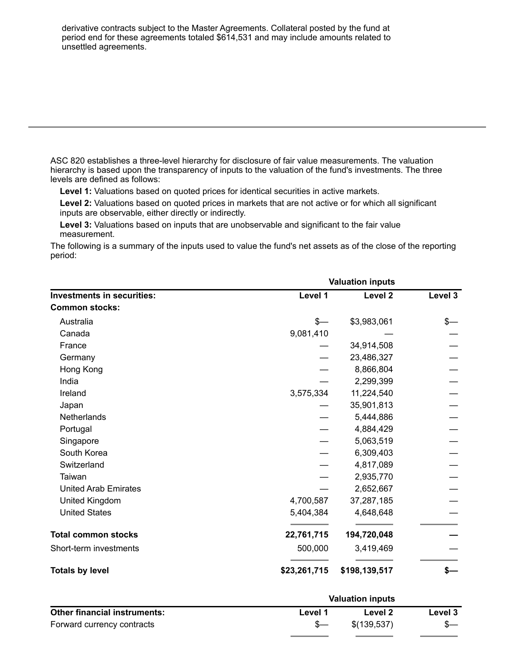derivative contracts subject to the Master Agreements. Collateral posted by the fund at period end for these agreements totaled \$614,531 and may include amounts related to unsettled agreements.

ASC 820 establishes a three-level hierarchy for disclosure of fair value measurements. The valuation hierarchy is based upon the transparency of inputs to the valuation of the fund's investments. The three levels are defined as follows:

**Level 1:** Valuations based on quoted prices for identical securities in active markets.

**Level 2:** Valuations based on quoted prices in markets that are not active or for which all significant inputs are observable, either directly or indirectly.

**Level 3:** Valuations based on inputs that are unobservable and significant to the fair value measurement.

The following is a summary of the inputs used to value the fund's net assets as of the close of the reporting period:

|                                   |              | <b>Valuation inputs</b> |         |  |  |
|-----------------------------------|--------------|-------------------------|---------|--|--|
| <b>Investments in securities:</b> | Level 1      | Level 2                 | Level 3 |  |  |
| <b>Common stocks:</b>             |              |                         |         |  |  |
| Australia                         | $s-$         | \$3,983,061             | \$—     |  |  |
| Canada                            | 9,081,410    |                         |         |  |  |
| France                            |              | 34,914,508              |         |  |  |
| Germany                           |              | 23,486,327              |         |  |  |
| Hong Kong                         |              | 8,866,804               |         |  |  |
| India                             |              | 2,299,399               |         |  |  |
| Ireland                           | 3,575,334    | 11,224,540              |         |  |  |
| Japan                             |              | 35,901,813              |         |  |  |
| Netherlands                       |              | 5,444,886               |         |  |  |
| Portugal                          |              | 4,884,429               |         |  |  |
| Singapore                         |              | 5,063,519               |         |  |  |
| South Korea                       |              | 6,309,403               |         |  |  |
| Switzerland                       |              | 4,817,089               |         |  |  |
| Taiwan                            |              | 2,935,770               |         |  |  |
| <b>United Arab Emirates</b>       |              | 2,652,667               |         |  |  |
| United Kingdom                    | 4,700,587    | 37,287,185              |         |  |  |
| <b>United States</b>              | 5,404,384    | 4,648,648               |         |  |  |
| <b>Total common stocks</b>        | 22,761,715   | 194,720,048             |         |  |  |
| Short-term investments            | 500,000      | 3,419,469               |         |  |  |
| <b>Totals by level</b>            | \$23,261,715 | \$198,139,517           | \$—     |  |  |

|                                     |         | <b>Valuation inputs</b> |         |
|-------------------------------------|---------|-------------------------|---------|
| <b>Other financial instruments:</b> | Level 1 | Level 2                 | Level 3 |
| Forward currency contracts          | _Տ—     | \$(139,537)             |         |